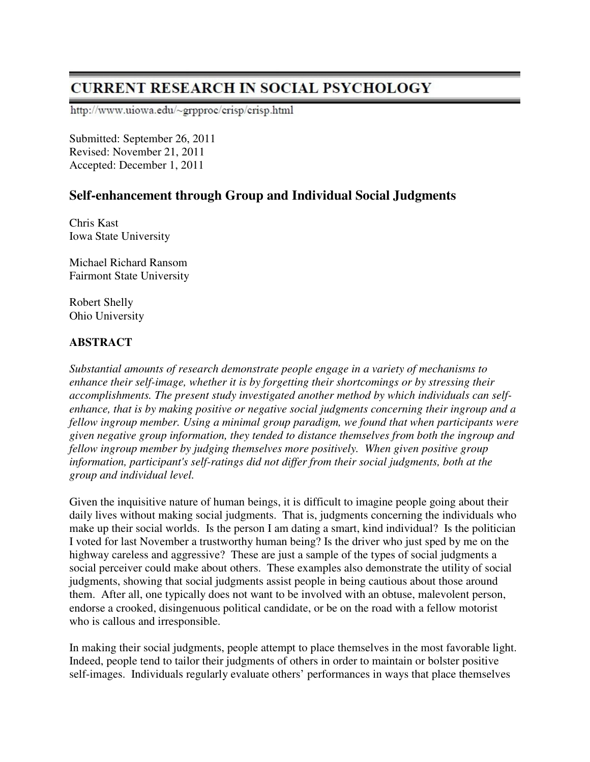# **CURRENT RESEARCH IN SOCIAL PSYCHOLOGY**

http://www.uiowa.edu/~grpproc/crisp/crisp.html

Submitted: September 26, 2011 Revised: November 21, 2011 Accepted: December 1, 2011

## **Self-enhancement through Group and Individual Social Judgments**

Chris Kast Iowa State University

Michael Richard Ransom Fairmont State University

Robert Shelly Ohio University

## **ABSTRACT**

*Substantial amounts of research demonstrate people engage in a variety of mechanisms to enhance their self-image, whether it is by forgetting their shortcomings or by stressing their accomplishments. The present study investigated another method by which individuals can selfenhance, that is by making positive or negative social judgments concerning their ingroup and a fellow ingroup member. Using a minimal group paradigm, we found that when participants were given negative group information, they tended to distance themselves from both the ingroup and fellow ingroup member by judging themselves more positively. When given positive group information, participant's self-ratings did not differ from their social judgments, both at the group and individual level.* 

Given the inquisitive nature of human beings, it is difficult to imagine people going about their daily lives without making social judgments. That is, judgments concerning the individuals who make up their social worlds. Is the person I am dating a smart, kind individual? Is the politician I voted for last November a trustworthy human being? Is the driver who just sped by me on the highway careless and aggressive? These are just a sample of the types of social judgments a social perceiver could make about others. These examples also demonstrate the utility of social judgments, showing that social judgments assist people in being cautious about those around them. After all, one typically does not want to be involved with an obtuse, malevolent person, endorse a crooked, disingenuous political candidate, or be on the road with a fellow motorist who is callous and irresponsible.

In making their social judgments, people attempt to place themselves in the most favorable light. Indeed, people tend to tailor their judgments of others in order to maintain or bolster positive self-images. Individuals regularly evaluate others' performances in ways that place themselves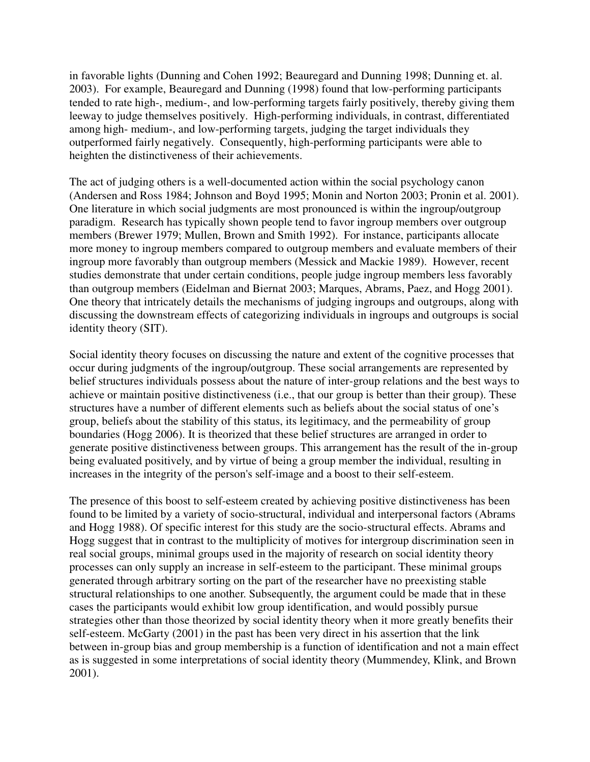in favorable lights (Dunning and Cohen 1992; Beauregard and Dunning 1998; Dunning et. al. 2003). For example, Beauregard and Dunning (1998) found that low-performing participants tended to rate high-, medium-, and low-performing targets fairly positively, thereby giving them leeway to judge themselves positively. High-performing individuals, in contrast, differentiated among high- medium-, and low-performing targets, judging the target individuals they outperformed fairly negatively. Consequently, high-performing participants were able to heighten the distinctiveness of their achievements.

The act of judging others is a well-documented action within the social psychology canon (Andersen and Ross 1984; Johnson and Boyd 1995; Monin and Norton 2003; Pronin et al. 2001). One literature in which social judgments are most pronounced is within the ingroup/outgroup paradigm. Research has typically shown people tend to favor ingroup members over outgroup members (Brewer 1979; Mullen, Brown and Smith 1992). For instance, participants allocate more money to ingroup members compared to outgroup members and evaluate members of their ingroup more favorably than outgroup members (Messick and Mackie 1989). However, recent studies demonstrate that under certain conditions, people judge ingroup members less favorably than outgroup members (Eidelman and Biernat 2003; Marques, Abrams, Paez, and Hogg 2001). One theory that intricately details the mechanisms of judging ingroups and outgroups, along with discussing the downstream effects of categorizing individuals in ingroups and outgroups is social identity theory (SIT).

Social identity theory focuses on discussing the nature and extent of the cognitive processes that occur during judgments of the ingroup/outgroup. These social arrangements are represented by belief structures individuals possess about the nature of inter-group relations and the best ways to achieve or maintain positive distinctiveness (i.e., that our group is better than their group). These structures have a number of different elements such as beliefs about the social status of one's group, beliefs about the stability of this status, its legitimacy, and the permeability of group boundaries (Hogg 2006). It is theorized that these belief structures are arranged in order to generate positive distinctiveness between groups. This arrangement has the result of the in-group being evaluated positively, and by virtue of being a group member the individual, resulting in increases in the integrity of the person's self-image and a boost to their self-esteem.

The presence of this boost to self-esteem created by achieving positive distinctiveness has been found to be limited by a variety of socio-structural, individual and interpersonal factors (Abrams and Hogg 1988). Of specific interest for this study are the socio-structural effects. Abrams and Hogg suggest that in contrast to the multiplicity of motives for intergroup discrimination seen in real social groups, minimal groups used in the majority of research on social identity theory processes can only supply an increase in self-esteem to the participant. These minimal groups generated through arbitrary sorting on the part of the researcher have no preexisting stable structural relationships to one another. Subsequently, the argument could be made that in these cases the participants would exhibit low group identification, and would possibly pursue strategies other than those theorized by social identity theory when it more greatly benefits their self-esteem. McGarty (2001) in the past has been very direct in his assertion that the link between in-group bias and group membership is a function of identification and not a main effect as is suggested in some interpretations of social identity theory (Mummendey, Klink, and Brown 2001).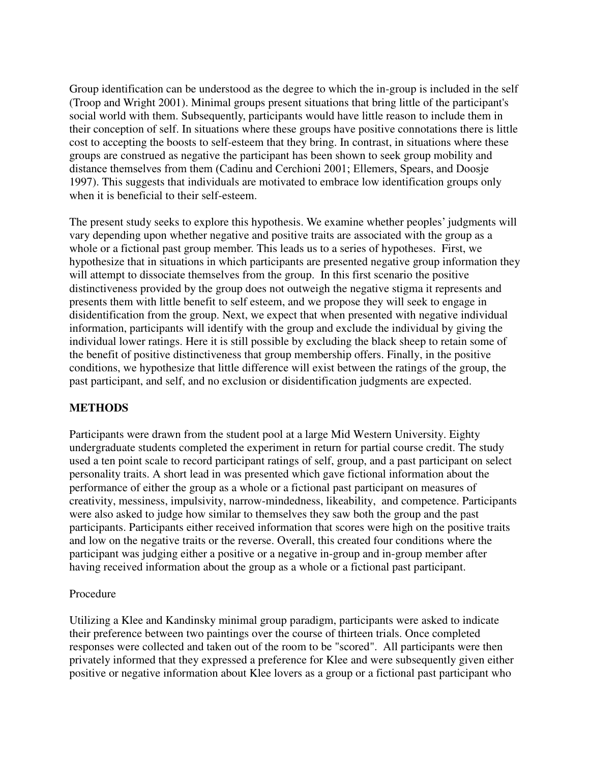Group identification can be understood as the degree to which the in-group is included in the self (Troop and Wright 2001). Minimal groups present situations that bring little of the participant's social world with them. Subsequently, participants would have little reason to include them in their conception of self. In situations where these groups have positive connotations there is little cost to accepting the boosts to self-esteem that they bring. In contrast, in situations where these groups are construed as negative the participant has been shown to seek group mobility and distance themselves from them (Cadinu and Cerchioni 2001; Ellemers, Spears, and Doosje 1997). This suggests that individuals are motivated to embrace low identification groups only when it is beneficial to their self-esteem.

The present study seeks to explore this hypothesis. We examine whether peoples' judgments will vary depending upon whether negative and positive traits are associated with the group as a whole or a fictional past group member. This leads us to a series of hypotheses. First, we hypothesize that in situations in which participants are presented negative group information they will attempt to dissociate themselves from the group. In this first scenario the positive distinctiveness provided by the group does not outweigh the negative stigma it represents and presents them with little benefit to self esteem, and we propose they will seek to engage in disidentification from the group. Next, we expect that when presented with negative individual information, participants will identify with the group and exclude the individual by giving the individual lower ratings. Here it is still possible by excluding the black sheep to retain some of the benefit of positive distinctiveness that group membership offers. Finally, in the positive conditions, we hypothesize that little difference will exist between the ratings of the group, the past participant, and self, and no exclusion or disidentification judgments are expected.

## **METHODS**

Participants were drawn from the student pool at a large Mid Western University. Eighty undergraduate students completed the experiment in return for partial course credit. The study used a ten point scale to record participant ratings of self, group, and a past participant on select personality traits. A short lead in was presented which gave fictional information about the performance of either the group as a whole or a fictional past participant on measures of creativity, messiness, impulsivity, narrow-mindedness, likeability, and competence. Participants were also asked to judge how similar to themselves they saw both the group and the past participants. Participants either received information that scores were high on the positive traits and low on the negative traits or the reverse. Overall, this created four conditions where the participant was judging either a positive or a negative in-group and in-group member after having received information about the group as a whole or a fictional past participant.

#### Procedure

Utilizing a Klee and Kandinsky minimal group paradigm, participants were asked to indicate their preference between two paintings over the course of thirteen trials. Once completed responses were collected and taken out of the room to be "scored". All participants were then privately informed that they expressed a preference for Klee and were subsequently given either positive or negative information about Klee lovers as a group or a fictional past participant who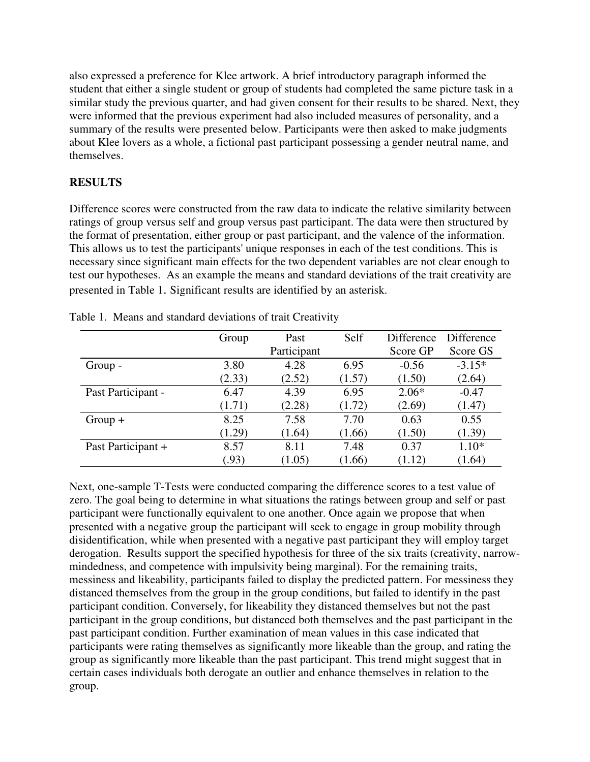also expressed a preference for Klee artwork. A brief introductory paragraph informed the student that either a single student or group of students had completed the same picture task in a similar study the previous quarter, and had given consent for their results to be shared. Next, they were informed that the previous experiment had also included measures of personality, and a summary of the results were presented below. Participants were then asked to make judgments about Klee lovers as a whole, a fictional past participant possessing a gender neutral name, and themselves.

## **RESULTS**

Difference scores were constructed from the raw data to indicate the relative similarity between ratings of group versus self and group versus past participant. The data were then structured by the format of presentation, either group or past participant, and the valence of the information. This allows us to test the participants' unique responses in each of the test conditions. This is necessary since significant main effects for the two dependent variables are not clear enough to test our hypotheses. As an example the means and standard deviations of the trait creativity are presented in Table 1. Significant results are identified by an asterisk.

|                    | Group  | Past        | Self   | Difference | Difference |
|--------------------|--------|-------------|--------|------------|------------|
|                    |        | Participant |        | Score GP   | Score GS   |
| Group -            | 3.80   | 4.28        | 6.95   | $-0.56$    | $-3.15*$   |
|                    | (2.33) | (2.52)      | (1.57) | (1.50)     | (2.64)     |
| Past Participant - | 6.47   | 4.39        | 6.95   | $2.06*$    | $-0.47$    |
|                    | (1.71) | (2.28)      | (1.72) | (2.69)     | (1.47)     |
| $Group+$           | 8.25   | 7.58        | 7.70   | 0.63       | 0.55       |
|                    | (1.29) | (1.64)      | (1.66) | (1.50)     | (1.39)     |
| Past Participant + | 8.57   | 8.11        | 7.48   | 0.37       | $1.10*$    |
|                    | (0.93) | (1.05)      | (1.66) | (1.12)     | (1.64)     |

Table 1. Means and standard deviations of trait Creativity

Next, one-sample T-Tests were conducted comparing the difference scores to a test value of zero. The goal being to determine in what situations the ratings between group and self or past participant were functionally equivalent to one another. Once again we propose that when presented with a negative group the participant will seek to engage in group mobility through disidentification, while when presented with a negative past participant they will employ target derogation. Results support the specified hypothesis for three of the six traits (creativity, narrowmindedness, and competence with impulsivity being marginal). For the remaining traits, messiness and likeability, participants failed to display the predicted pattern. For messiness they distanced themselves from the group in the group conditions, but failed to identify in the past participant condition. Conversely, for likeability they distanced themselves but not the past participant in the group conditions, but distanced both themselves and the past participant in the past participant condition. Further examination of mean values in this case indicated that participants were rating themselves as significantly more likeable than the group, and rating the group as significantly more likeable than the past participant. This trend might suggest that in certain cases individuals both derogate an outlier and enhance themselves in relation to the group.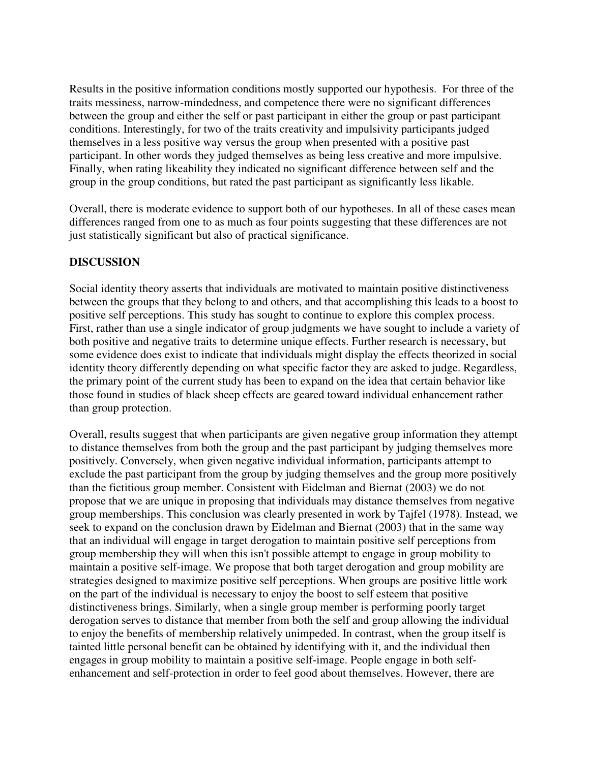Results in the positive information conditions mostly supported our hypothesis. For three of the traits messiness, narrow-mindedness, and competence there were no significant differences between the group and either the self or past participant in either the group or past participant conditions. Interestingly, for two of the traits creativity and impulsivity participants judged themselves in a less positive way versus the group when presented with a positive past participant. In other words they judged themselves as being less creative and more impulsive. Finally, when rating likeability they indicated no significant difference between self and the group in the group conditions, but rated the past participant as significantly less likable.

Overall, there is moderate evidence to support both of our hypotheses. In all of these cases mean differences ranged from one to as much as four points suggesting that these differences are not just statistically significant but also of practical significance.

#### **DISCUSSION**

Social identity theory asserts that individuals are motivated to maintain positive distinctiveness between the groups that they belong to and others, and that accomplishing this leads to a boost to positive self perceptions. This study has sought to continue to explore this complex process. First, rather than use a single indicator of group judgments we have sought to include a variety of both positive and negative traits to determine unique effects. Further research is necessary, but some evidence does exist to indicate that individuals might display the effects theorized in social identity theory differently depending on what specific factor they are asked to judge. Regardless, the primary point of the current study has been to expand on the idea that certain behavior like those found in studies of black sheep effects are geared toward individual enhancement rather than group protection.

Overall, results suggest that when participants are given negative group information they attempt to distance themselves from both the group and the past participant by judging themselves more positively. Conversely, when given negative individual information, participants attempt to exclude the past participant from the group by judging themselves and the group more positively than the fictitious group member. Consistent with Eidelman and Biernat (2003) we do not propose that we are unique in proposing that individuals may distance themselves from negative group memberships. This conclusion was clearly presented in work by Tajfel (1978). Instead, we seek to expand on the conclusion drawn by Eidelman and Biernat (2003) that in the same way that an individual will engage in target derogation to maintain positive self perceptions from group membership they will when this isn't possible attempt to engage in group mobility to maintain a positive self-image. We propose that both target derogation and group mobility are strategies designed to maximize positive self perceptions. When groups are positive little work on the part of the individual is necessary to enjoy the boost to self esteem that positive distinctiveness brings. Similarly, when a single group member is performing poorly target derogation serves to distance that member from both the self and group allowing the individual to enjoy the benefits of membership relatively unimpeded. In contrast, when the group itself is tainted little personal benefit can be obtained by identifying with it, and the individual then engages in group mobility to maintain a positive self-image. People engage in both selfenhancement and self-protection in order to feel good about themselves. However, there are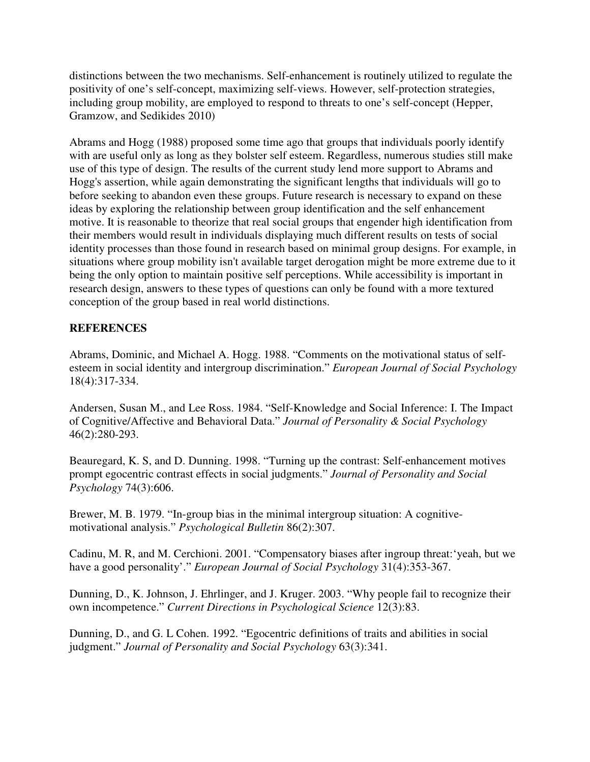distinctions between the two mechanisms. Self-enhancement is routinely utilized to regulate the positivity of one's self-concept, maximizing self-views. However, self-protection strategies, including group mobility, are employed to respond to threats to one's self-concept (Hepper, Gramzow, and Sedikides 2010)

Abrams and Hogg (1988) proposed some time ago that groups that individuals poorly identify with are useful only as long as they bolster self esteem. Regardless, numerous studies still make use of this type of design. The results of the current study lend more support to Abrams and Hogg's assertion, while again demonstrating the significant lengths that individuals will go to before seeking to abandon even these groups. Future research is necessary to expand on these ideas by exploring the relationship between group identification and the self enhancement motive. It is reasonable to theorize that real social groups that engender high identification from their members would result in individuals displaying much different results on tests of social identity processes than those found in research based on minimal group designs. For example, in situations where group mobility isn't available target derogation might be more extreme due to it being the only option to maintain positive self perceptions. While accessibility is important in research design, answers to these types of questions can only be found with a more textured conception of the group based in real world distinctions.

## **REFERENCES**

Abrams, Dominic, and Michael A. Hogg. 1988. "Comments on the motivational status of selfesteem in social identity and intergroup discrimination." *European Journal of Social Psychology* 18(4):317-334.

Andersen, Susan M., and Lee Ross. 1984. "Self-Knowledge and Social Inference: I. The Impact of Cognitive/Affective and Behavioral Data." *Journal of Personality & Social Psychology* 46(2):280-293.

Beauregard, K. S, and D. Dunning. 1998. "Turning up the contrast: Self-enhancement motives prompt egocentric contrast effects in social judgments." *Journal of Personality and Social Psychology* 74(3):606.

Brewer, M. B. 1979. "In-group bias in the minimal intergroup situation: A cognitivemotivational analysis." *Psychological Bulletin* 86(2):307.

Cadinu, M. R, and M. Cerchioni. 2001. "Compensatory biases after ingroup threat:'yeah, but we have a good personality'." *European Journal of Social Psychology* 31(4):353-367.

Dunning, D., K. Johnson, J. Ehrlinger, and J. Kruger. 2003. "Why people fail to recognize their own incompetence." *Current Directions in Psychological Science* 12(3):83.

Dunning, D., and G. L Cohen. 1992. "Egocentric definitions of traits and abilities in social judgment." *Journal of Personality and Social Psychology* 63(3):341.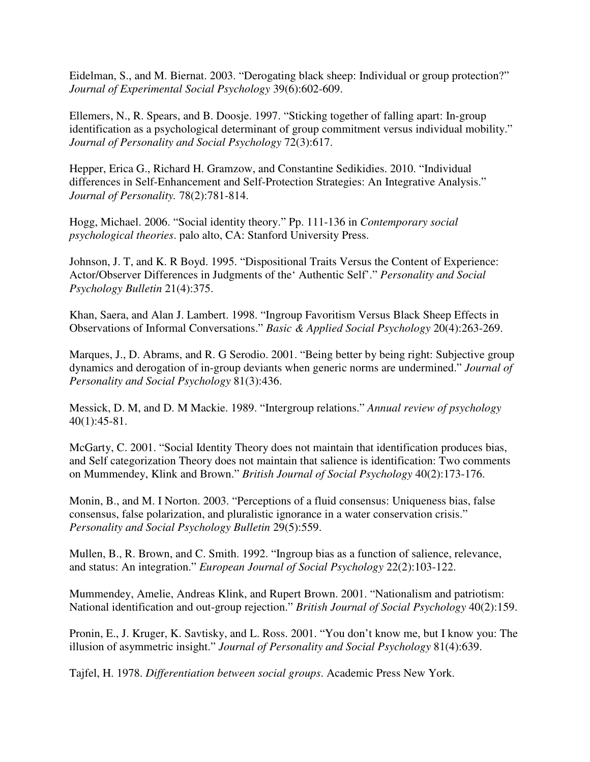Eidelman, S., and M. Biernat. 2003. "Derogating black sheep: Individual or group protection?" *Journal of Experimental Social Psychology* 39(6):602-609.

Ellemers, N., R. Spears, and B. Doosje. 1997. "Sticking together of falling apart: In-group identification as a psychological determinant of group commitment versus individual mobility." *Journal of Personality and Social Psychology* 72(3):617.

Hepper, Erica G., Richard H. Gramzow, and Constantine Sedikidies. 2010. "Individual differences in Self-Enhancement and Self-Protection Strategies: An Integrative Analysis." *Journal of Personality.* 78(2):781-814.

Hogg, Michael. 2006. "Social identity theory." Pp. 111-136 in *Contemporary social psychological theories*. palo alto, CA: Stanford University Press.

Johnson, J. T, and K. R Boyd. 1995. "Dispositional Traits Versus the Content of Experience: Actor/Observer Differences in Judgments of the' Authentic Self'." *Personality and Social Psychology Bulletin* 21(4):375.

Khan, Saera, and Alan J. Lambert. 1998. "Ingroup Favoritism Versus Black Sheep Effects in Observations of Informal Conversations." *Basic & Applied Social Psychology* 20(4):263-269.

Marques, J., D. Abrams, and R. G Serodio. 2001. "Being better by being right: Subjective group dynamics and derogation of in-group deviants when generic norms are undermined." *Journal of Personality and Social Psychology* 81(3):436.

Messick, D. M, and D. M Mackie. 1989. "Intergroup relations." *Annual review of psychology* 40(1):45-81.

McGarty, C. 2001. "Social Identity Theory does not maintain that identification produces bias, and Self categorization Theory does not maintain that salience is identification: Two comments on Mummendey, Klink and Brown." *British Journal of Social Psychology* 40(2):173-176.

Monin, B., and M. I Norton. 2003. "Perceptions of a fluid consensus: Uniqueness bias, false consensus, false polarization, and pluralistic ignorance in a water conservation crisis." *Personality and Social Psychology Bulletin* 29(5):559.

Mullen, B., R. Brown, and C. Smith. 1992. "Ingroup bias as a function of salience, relevance, and status: An integration." *European Journal of Social Psychology* 22(2):103-122.

Mummendey, Amelie, Andreas Klink, and Rupert Brown. 2001. "Nationalism and patriotism: National identification and out-group rejection." *British Journal of Social Psychology* 40(2):159.

Pronin, E., J. Kruger, K. Savtisky, and L. Ross. 2001. "You don't know me, but I know you: The illusion of asymmetric insight." *Journal of Personality and Social Psychology* 81(4):639.

Tajfel, H. 1978. *Differentiation between social groups*. Academic Press New York.